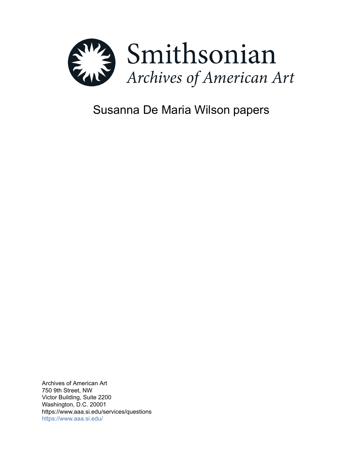

# Susanna De Maria Wilson papers

Archives of American Art 750 9th Street, NW Victor Building, Suite 2200 Washington, D.C. 20001 https://www.aaa.si.edu/services/questions <https://www.aaa.si.edu/>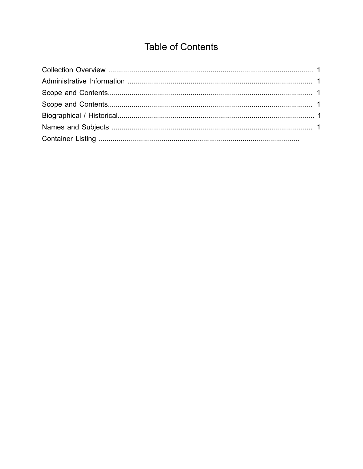## **Table of Contents**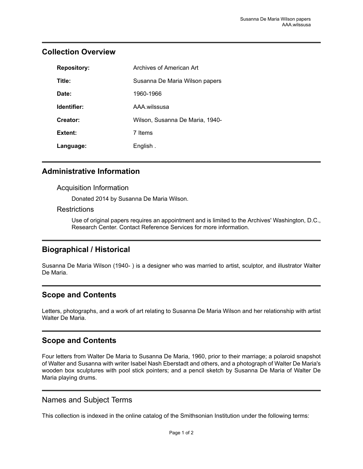| <b>Repository:</b> | Archives of American Art        |
|--------------------|---------------------------------|
| Title:             | Susanna De Maria Wilson papers  |
| Date:              | 1960-1966                       |
| Identifier:        | AAA wilssusa                    |
| Creator:           | Wilson, Susanna De Maria, 1940- |
| Extent:            | 7 Items                         |
| Language:          | English.                        |

## <span id="page-2-0"></span>**Collection Overview**

### <span id="page-2-1"></span>**Administrative Information**

#### Acquisition Information

Donated 2014 by Susanna De Maria Wilson.

#### **Restrictions**

Use of original papers requires an appointment and is limited to the Archives' Washington, D.C., Research Center. Contact Reference Services for more information.

## <span id="page-2-4"></span>**Biographical / Historical**

Susanna De Maria Wilson (1940- ) is a designer who was married to artist, sculptor, and illustrator Walter De Maria.

## <span id="page-2-2"></span>**Scope and Contents**

Letters, photographs, and a work of art relating to Susanna De Maria Wilson and her relationship with artist Walter De Maria.

## <span id="page-2-3"></span>**Scope and Contents**

Four letters from Walter De Maria to Susanna De Maria, 1960, prior to their marriage; a polaroid snapshot of Walter and Susanna with writer Isabel Nash Eberstadt and others, and a photograph of Walter De Maria's wooden box sculptures with pool stick pointers; and a pencil sketch by Susanna De Maria of Walter De Maria playing drums.

## <span id="page-2-5"></span>Names and Subject Terms

This collection is indexed in the online catalog of the Smithsonian Institution under the following terms: